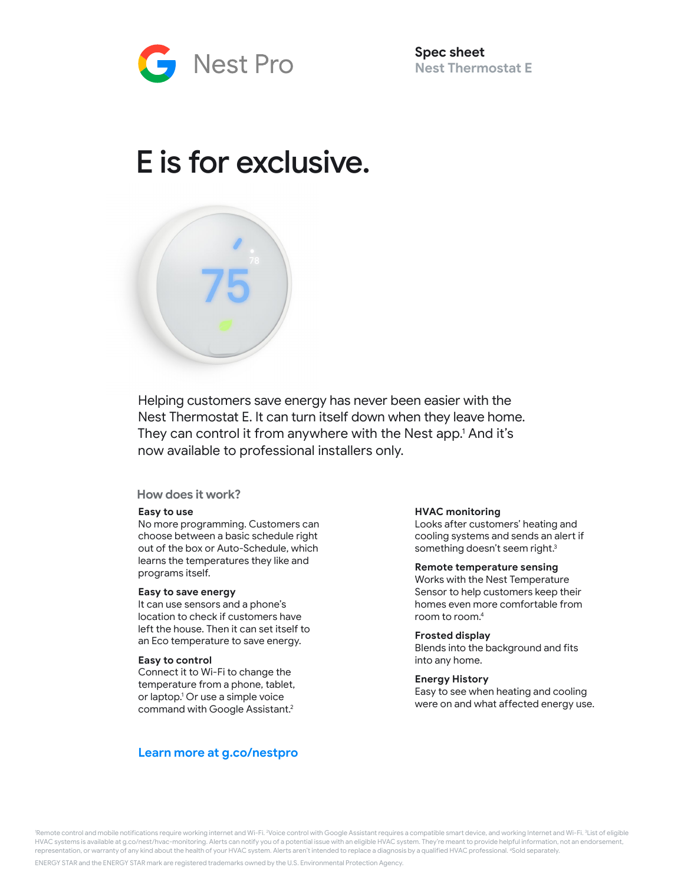

**Spec sheet Nest Thermostat E** 

# E is for exclusive.



Helping customers save energy has never been easier with the Nest Thermostat E. It can turn itself down when they leave home. They can control it from anywhere with the Nest app.1 And it's now available to professional installers only.

# **How does it work?**

## **Easy to use**

No more programming. Customers can choose between a basic schedule right out of the box or Auto-Schedule, which learns the temperatures they like and programs itself.

#### **Easy to save energy**

It can use sensors and a phone's location to check if customers have left the house. Then it can set itself to an Eco temperature to save energy.

#### **Easy to control**

Connect it to Wi-Fi to change the temperature from a phone, tablet, or laptop. 1 Or use a simple voice command with Google Assistant. 2

# **Learn more at g.co/nestpro**

#### **HVAC monitoring**

Looks after customers' heating and cooling systems and sends an alert if something doesn't seem right.<sup>3</sup>

#### **Remote temperature sensing**

Works with the Nest Temperature Sensor to help customers keep their homes even more comfortable from room to room. 4

#### **Frosted display**

Blends into the background and fits into any home.

#### **Energy History**

Easy to see when heating and cooling were on and what affected energy use.

'Remote control and mobile notifications require working internet and Wi-Fi. <sup>2</sup>Voice control with Google Assistant requires a compatible smart device, and working Internet and Wi-Fi. <sup>3</sup>List of eligible HVAC systems is available at g.co/nest/hvac-monitoring. Alerts can notify you of a potential issue with an eligible HVAC system. They're meant to provide helpful information, not an endorsement, representation, or warranty of any kind about the health of your HVAC system. Alerts aren't intended to replace a diagnosis by a qualified HVAC professional. <sup>4</sup>Sold separately.